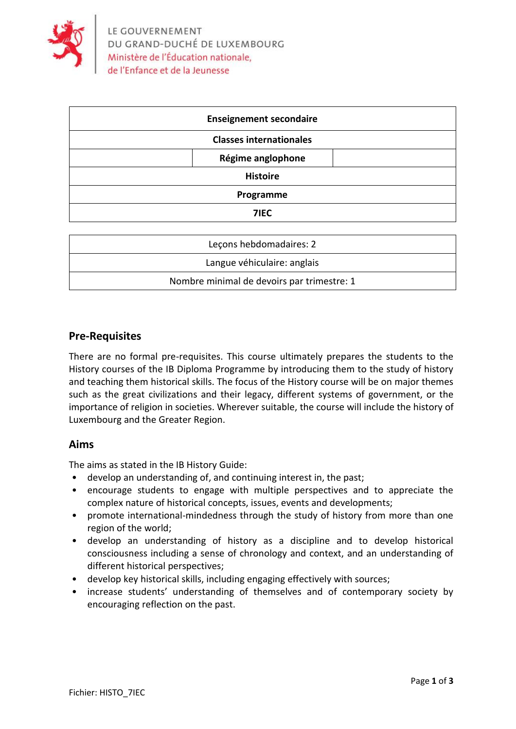

|                 | <b>Enseignement secondaire</b> |  |
|-----------------|--------------------------------|--|
|                 | <b>Classes internationales</b> |  |
|                 | Régime anglophone              |  |
| <b>Histoire</b> |                                |  |
| Programme       |                                |  |
|                 | 7IEC                           |  |
|                 |                                |  |

| Lecons hebdomadaires: 2                    |
|--------------------------------------------|
| Langue véhiculaire: anglais                |
| Nombre minimal de devoirs par trimestre: 1 |

## **Pre-Requisites**

There are no formal pre-requisites. This course ultimately prepares the students to the History courses of the IB Diploma Programme by introducing them to the study of history and teaching them historical skills. The focus of the History course will be on major themes such as the great civilizations and their legacy, different systems of government, or the importance of religion in societies. Wherever suitable, the course will include the history of Luxembourg and the Greater Region.

#### **Aims**

The aims as stated in the IB History Guide:

- develop an understanding of, and continuing interest in, the past;
- encourage students to engage with multiple perspectives and to appreciate the complex nature of historical concepts, issues, events and developments;
- promote international-mindedness through the study of history from more than one region of the world;
- develop an understanding of history as a discipline and to develop historical consciousness including a sense of chronology and context, and an understanding of different historical perspectives;
- develop key historical skills, including engaging effectively with sources;
- increase students' understanding of themselves and of contemporary society by encouraging reflection on the past.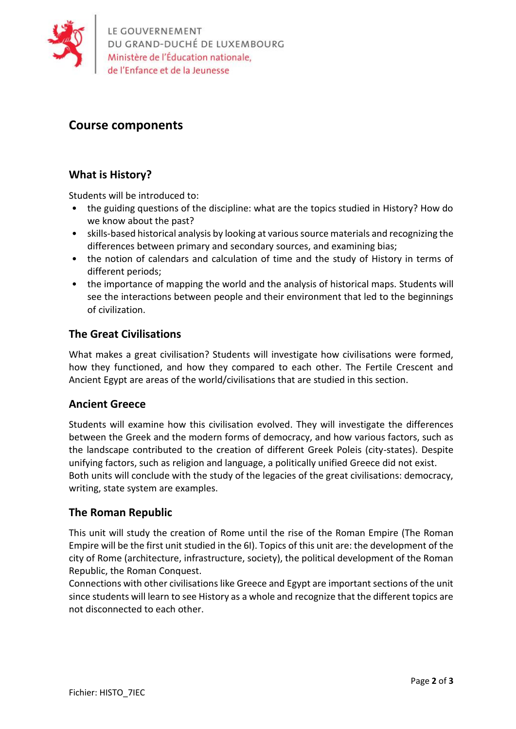

# **Course components**

## **What is History?**

Students will be introduced to:

- the guiding questions of the discipline: what are the topics studied in History? How do we know about the past?
- skills-based historical analysis by looking at various source materials and recognizing the differences between primary and secondary sources, and examining bias;
- the notion of calendars and calculation of time and the study of History in terms of different periods;
- the importance of mapping the world and the analysis of historical maps. Students will see the interactions between people and their environment that led to the beginnings of civilization.

## **The Great Civilisations**

What makes a great civilisation? Students will investigate how civilisations were formed, how they functioned, and how they compared to each other. The Fertile Crescent and Ancient Egypt are areas of the world/civilisations that are studied in this section.

#### **Ancient Greece**

Students will examine how this civilisation evolved. They will investigate the differences between the Greek and the modern forms of democracy, and how various factors, such as the landscape contributed to the creation of different Greek Poleis (city-states). Despite unifying factors, such as religion and language, a politically unified Greece did not exist. Both units will conclude with the study of the legacies of the great civilisations: democracy, writing, state system are examples.

## **The Roman Republic**

This unit will study the creation of Rome until the rise of the Roman Empire (The Roman Empire will be the first unit studied in the 6I). Topics of this unit are: the development of the city of Rome (architecture, infrastructure, society), the political development of the Roman Republic, the Roman Conquest.

Connections with other civilisations like Greece and Egypt are important sections of the unit since students will learn to see History as a whole and recognize that the different topics are not disconnected to each other.